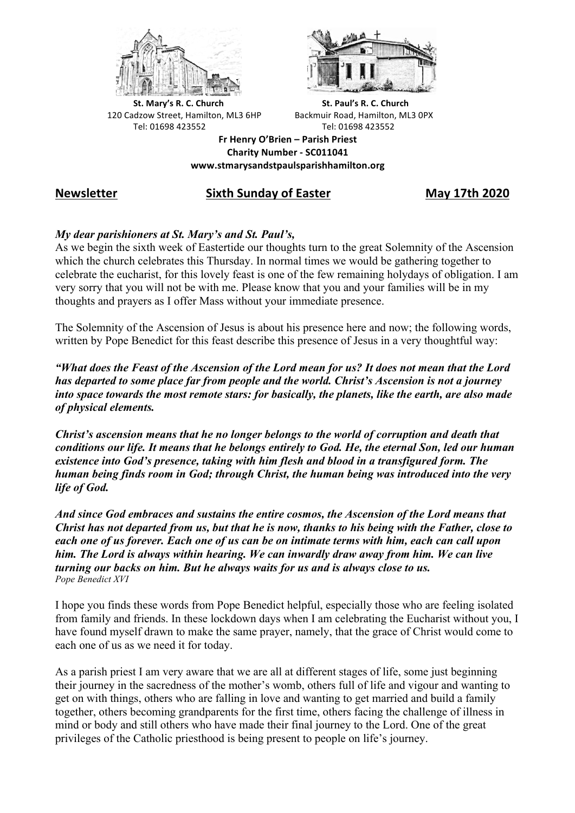



**St.** Mary's R. C. Church St. Paul's R. C. Church 120 Cadzow Street, Hamilton, ML3 6HP Backmuir Road, Hamilton, ML3 0PX Tel: 01698 423552 Tel: 01698 423552

**Fr Henry O'Brien – Parish Priest Charity Number - SC011041 www.stmarysandstpaulsparishhamilton.org**

# **Newsletter Sixth Sunday of Easter May 17th 2020**

# *My dear parishioners at St. Mary's and St. Paul's,*

As we begin the sixth week of Eastertide our thoughts turn to the great Solemnity of the Ascension which the church celebrates this Thursday. In normal times we would be gathering together to celebrate the eucharist, for this lovely feast is one of the few remaining holydays of obligation. I am very sorry that you will not be with me. Please know that you and your families will be in my thoughts and prayers as I offer Mass without your immediate presence.

The Solemnity of the Ascension of Jesus is about his presence here and now; the following words, written by Pope Benedict for this feast describe this presence of Jesus in a very thoughtful way:

*"What does the Feast of the Ascension of the Lord mean for us? It does not mean that the Lord has departed to some place far from people and the world. Christ's Ascension is not a journey into space towards the most remote stars: for basically, the planets, like the earth, are also made of physical elements.*

*Christ's ascension means that he no longer belongs to the world of corruption and death that conditions our life. It means that he belongs entirely to God. He, the eternal Son, led our human existence into God's presence, taking with him flesh and blood in a transfigured form. The human being finds room in God; through Christ, the human being was introduced into the very life of God.* 

*And since God embraces and sustains the entire cosmos, the Ascension of the Lord means that Christ has not departed from us, but that he is now, thanks to his being with the Father, close to each one of us forever. Each one of us can be on intimate terms with him, each can call upon him. The Lord is always within hearing. We can inwardly draw away from him. We can live turning our backs on him. But he always waits for us and is always close to us. Pope Benedict XVI*

I hope you finds these words from Pope Benedict helpful, especially those who are feeling isolated from family and friends. In these lockdown days when I am celebrating the Eucharist without you, I have found myself drawn to make the same prayer, namely, that the grace of Christ would come to each one of us as we need it for today.

As a parish priest I am very aware that we are all at different stages of life, some just beginning their journey in the sacredness of the mother's womb, others full of life and vigour and wanting to get on with things, others who are falling in love and wanting to get married and build a family together, others becoming grandparents for the first time, others facing the challenge of illness in mind or body and still others who have made their final journey to the Lord. One of the great privileges of the Catholic priesthood is being present to people on life's journey.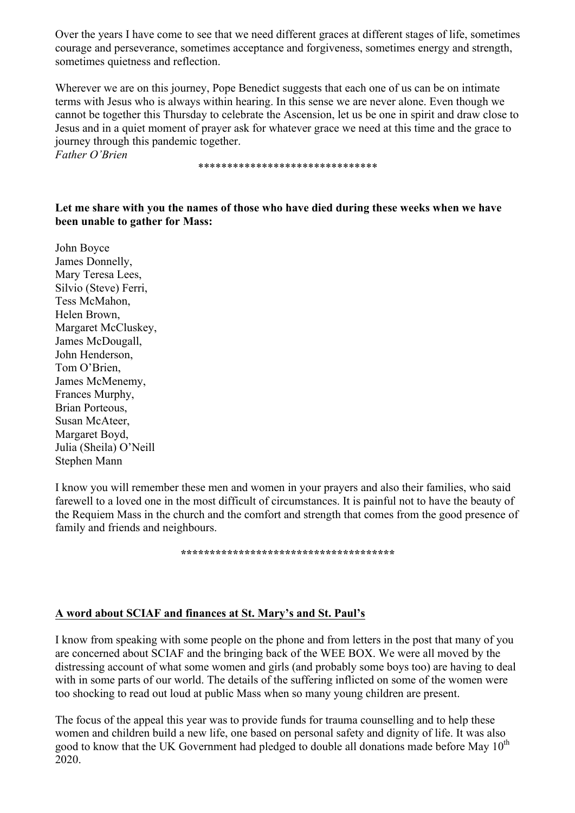Over the years I have come to see that we need different graces at different stages of life, sometimes courage and perseverance, sometimes acceptance and forgiveness, sometimes energy and strength, sometimes quietness and reflection.

Wherever we are on this journey, Pope Benedict suggests that each one of us can be on intimate terms with Jesus who is always within hearing. In this sense we are never alone. Even though we cannot be together this Thursday to celebrate the Ascension, let us be one in spirit and draw close to Jesus and in a quiet moment of prayer ask for whatever grace we need at this time and the grace to journey through this pandemic together.

*Father O'Brien*

\*\*\*\*\*\*\*\*\*\*\*\*\*\*\*\*\*\*\*\*\*\*\*\*\*\*\*\*\*\*\*

#### **Let me share with you the names of those who have died during these weeks when we have been unable to gather for Mass:**

John Boyce James Donnelly, Mary Teresa Lees, Silvio (Steve) Ferri, Tess McMahon, Helen Brown, Margaret McCluskey, James McDougall, John Henderson, Tom O'Brien, James McMenemy, Frances Murphy, Brian Porteous, Susan McAteer, Margaret Boyd, Julia (Sheila) O'Neill Stephen Mann

I know you will remember these men and women in your prayers and also their families, who said farewell to a loved one in the most difficult of circumstances. It is painful not to have the beauty of the Requiem Mass in the church and the comfort and strength that comes from the good presence of family and friends and neighbours.

**\*\*\*\*\*\*\*\*\*\*\*\*\*\*\*\*\*\*\*\*\*\*\*\*\*\*\*\*\*\*\*\*\*\*\*\*\***

### **A word about SCIAF and finances at St. Mary's and St. Paul's**

I know from speaking with some people on the phone and from letters in the post that many of you are concerned about SCIAF and the bringing back of the WEE BOX. We were all moved by the distressing account of what some women and girls (and probably some boys too) are having to deal with in some parts of our world. The details of the suffering inflicted on some of the women were too shocking to read out loud at public Mass when so many young children are present.

The focus of the appeal this year was to provide funds for trauma counselling and to help these women and children build a new life, one based on personal safety and dignity of life. It was also good to know that the UK Government had pledged to double all donations made before May  $10^{th}$ 2020.